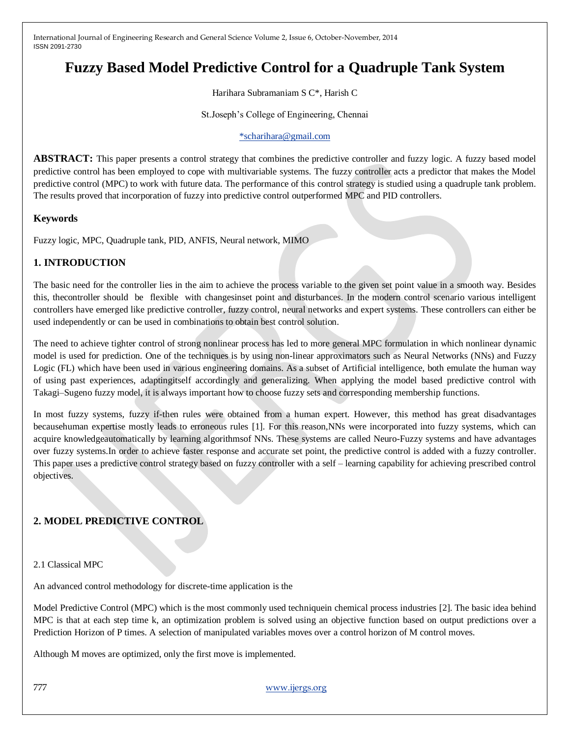# **Fuzzy Based Model Predictive Control for a Quadruple Tank System**

Harihara Subramaniam S C\*, Harish C

St.Joseph's College of Engineering, Chennai

#### [\\*scharihara@gmail.com](mailto:*scharihara@gmail.com)

**ABSTRACT:** This paper presents a control strategy that combines the predictive controller and fuzzy logic. A fuzzy based model predictive control has been employed to cope with multivariable systems. The fuzzy controller acts a predictor that makes the Model predictive control (MPC) to work with future data. The performance of this control strategy is studied using a quadruple tank problem. The results proved that incorporation of fuzzy into predictive control outperformed MPC and PID controllers.

## **Keywords**

Fuzzy logic, MPC, Quadruple tank, PID, ANFIS, Neural network, MIMO

## **1. INTRODUCTION**

The basic need for the controller lies in the aim to achieve the process variable to the given set point value in a smooth way. Besides this, thecontroller should be flexible with changesinset point and disturbances. In the modern control scenario various intelligent controllers have emerged like predictive controller, fuzzy control, neural networks and expert systems. These controllers can either be used independently or can be used in combinations to obtain best control solution.

The need to achieve tighter control of strong nonlinear process has led to more general MPC formulation in which nonlinear dynamic model is used for prediction. One of the techniques is by using non-linear approximators such as Neural Networks (NNs) and Fuzzy Logic (FL) which have been used in various engineering domains. As a subset of Artificial intelligence, both emulate the human way of using past experiences, adaptingitself accordingly and generalizing. When applying the model based predictive control with Takagi–Sugeno fuzzy model, it is always important how to choose fuzzy sets and corresponding membership functions.

In most fuzzy systems, fuzzy if-then rules were obtained from a human expert. However, this method has great disadvantages becausehuman expertise mostly leads to erroneous rules [1]. For this reason,NNs were incorporated into fuzzy systems, which can acquire knowledgeautomatically by learning algorithmsof NNs. These systems are called Neuro-Fuzzy systems and have advantages over fuzzy systems.In order to achieve faster response and accurate set point, the predictive control is added with a fuzzy controller. This paper uses a predictive control strategy based on fuzzy controller with a self – learning capability for achieving prescribed control objectives.

# **2. MODEL PREDICTIVE CONTROL**

#### 2.1 Classical MPC

An advanced control methodology for discrete-time application is the

Model Predictive Control (MPC) which is the most commonly used techniquein chemical process industries [2]. The basic idea behind MPC is that at each step time k, an optimization problem is solved using an objective function based on output predictions over a Prediction Horizon of P times. A selection of manipulated variables moves over a control horizon of M control moves.

Although M moves are optimized, only the first move is implemented.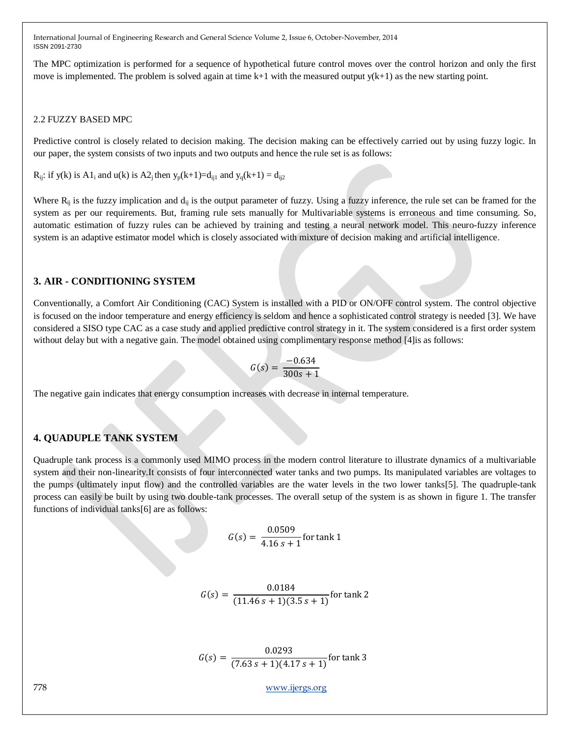The MPC optimization is performed for a sequence of hypothetical future control moves over the control horizon and only the first move is implemented. The problem is solved again at time  $k+1$  with the measured output  $y(k+1)$  as the new starting point.

#### 2.2 FUZZY BASED MPC

Predictive control is closely related to decision making. The decision making can be effectively carried out by using fuzzy logic. In our paper, the system consists of two inputs and two outputs and hence the rule set is as follows:

 $R_{ii}$ : if y(k) is A1<sub>i</sub> and u(k) is A2<sub>i</sub> then y<sub>p</sub>(k+1)=d<sub>ii1</sub> and y<sub>q</sub>(k+1) = d<sub>ii2</sub>

Where  $R_{ij}$  is the fuzzy implication and  $d_{ij}$  is the output parameter of fuzzy. Using a fuzzy inference, the rule set can be framed for the system as per our requirements. But, framing rule sets manually for Multivariable systems is erroneous and time consuming. So, automatic estimation of fuzzy rules can be achieved by training and testing a neural network model. This neuro-fuzzy inference system is an adaptive estimator model which is closely associated with mixture of decision making and artificial intelligence.

## **3. AIR - CONDITIONING SYSTEM**

Conventionally, a Comfort Air Conditioning (CAC) System is installed with a PID or ON/OFF control system. The control objective is focused on the indoor temperature and energy efficiency is seldom and hence a sophisticated control strategy is needed [3]. We have considered a SISO type CAC as a case study and applied predictive control strategy in it. The system considered is a first order system without delay but with a negative gain. The model obtained using complimentary response method [4]is as follows:

$$
G(s) = \frac{-0.634}{300s + 1}
$$

The negative gain indicates that energy consumption increases with decrease in internal temperature.

## **4. QUADUPLE TANK SYSTEM**

Quadruple tank process is a commonly used MIMO process in the modern control literature to illustrate dynamics of a multivariable system and their non-linearity.It consists of four interconnected water tanks and two pumps. Its manipulated variables are voltages to the pumps (ultimately input flow) and the controlled variables are the water levels in the two lower tanks[5]. The quadruple-tank process can easily be built by using two double-tank processes. The overall setup of the system is as shown in figure 1. The transfer functions of individual tanks[6] are as follows:

$$
G(s) = \frac{0.0509}{4.16 s + 1}
$$
 for tank 1

$$
G(s) = \frac{0.0184}{(11.46 s + 1)(3.5 s + 1)}
$$
 for tank 2

$$
G(s) = \frac{0.0293}{(7.63 \, s + 1)(4.17 \, s + 1)}
$$
 for tank 3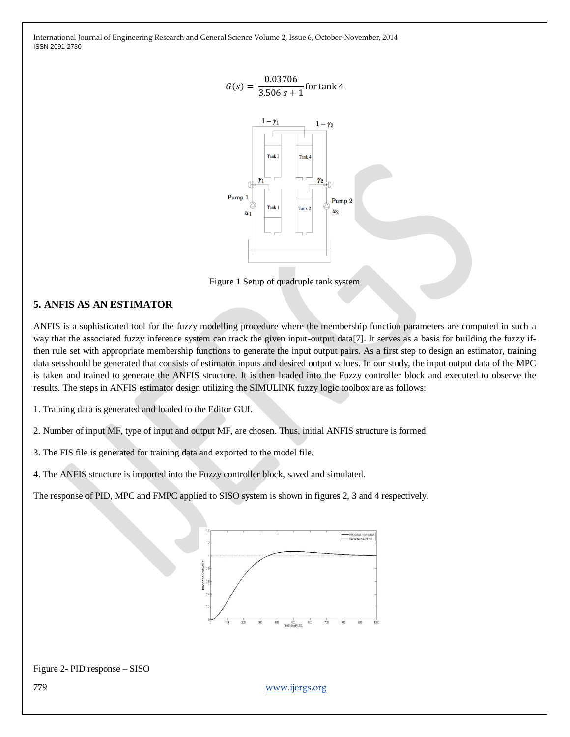



Figure 1 Setup of quadruple tank system

# **5. ANFIS AS AN ESTIMATOR**

ANFIS is a sophisticated tool for the fuzzy modelling procedure where the membership function parameters are computed in such a way that the associated fuzzy inference system can track the given input-output data[7]. It serves as a basis for building the fuzzy ifthen rule set with appropriate membership functions to generate the input output pairs. As a first step to design an estimator, training data setsshould be generated that consists of estimator inputs and desired output values. In our study, the input output data of the MPC is taken and trained to generate the ANFIS structure. It is then loaded into the Fuzzy controller block and executed to observe the results. The steps in ANFIS estimator design utilizing the SIMULINK fuzzy logic toolbox are as follows:

1. Training data is generated and loaded to the Editor GUI.

2. Number of input MF, type of input and output MF, are chosen. Thus, initial ANFIS structure is formed.

3. The FIS file is generated for training data and exported to the model file.

4. The ANFIS structure is imported into the Fuzzy controller block, saved and simulated.

The response of PID, MPC and FMPC applied to SISO system is shown in figures 2, 3 and 4 respectively.



#### Figure 2- PID response – SISO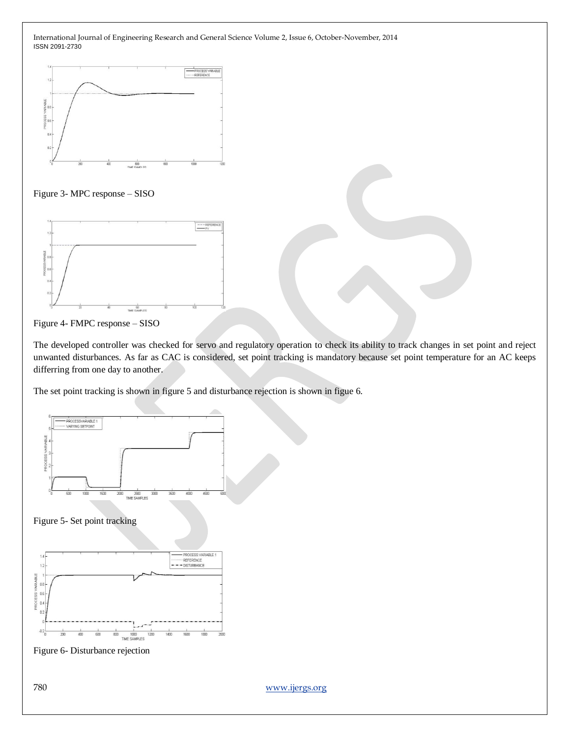







The developed controller was checked for servo and regulatory operation to check its ability to track changes in set point and reject unwanted disturbances. As far as CAC is considered, set point tracking is mandatory because set point temperature for an AC keeps differring from one day to another.

The set point tracking is shown in figure 5 and disturbance rejection is shown in figue 6.



Figure 5- Set point tracking



Figure 6- Disturbance rejection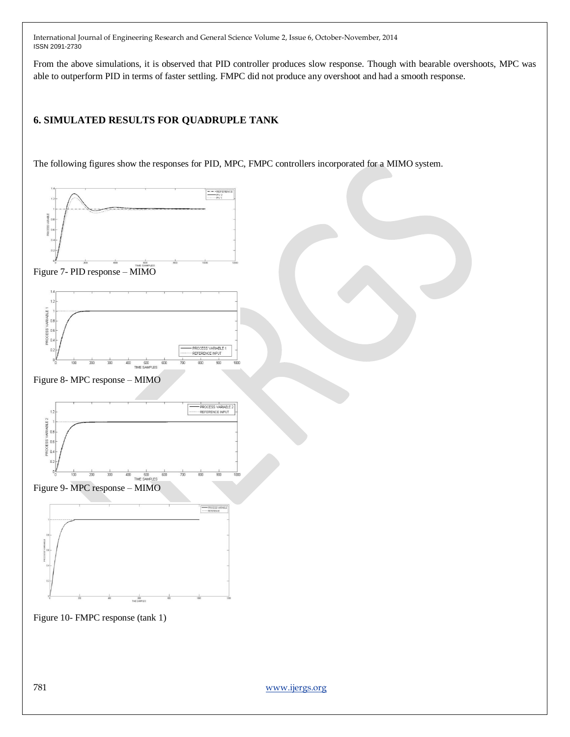From the above simulations, it is observed that PID controller produces slow response. Though with bearable overshoots, MPC was able to outperform PID in terms of faster settling. FMPC did not produce any overshoot and had a smooth response.

## **6. SIMULATED RESULTS FOR QUADRUPLE TANK**

The following figures show the responses for PID, MPC, FMPC controllers incorporated for a MIMO system.

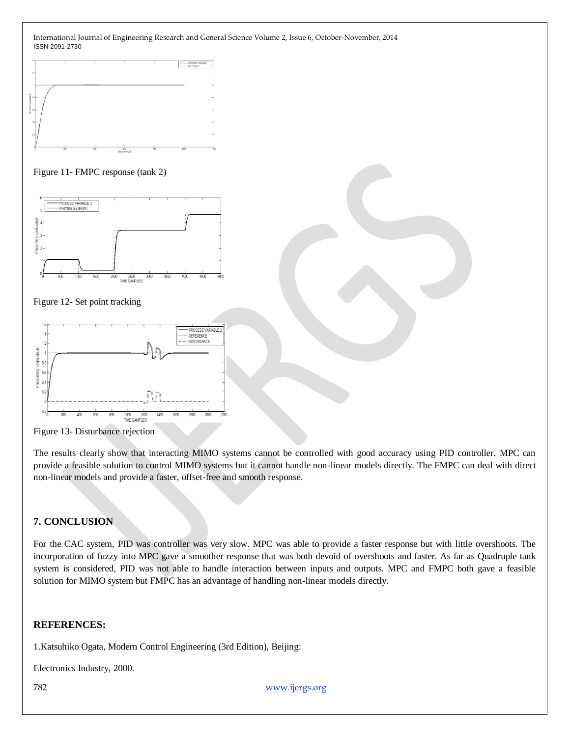

#### Figure 11- FMPC response (tank 2)



#### Figure 12- Set point tracking



Figure 13- Disturbance rejection

The results clearly show that interacting MIMO systems cannot be controlled with good accuracy using PID controller. MPC can provide a feasible solution to control MIMO systems but it cannot handle non-linear models directly. The FMPC can deal with direct non-linear models and provide a faster, offset-free and smooth response.

# **7. CONCLUSION**

For the CAC system, PID was controller was very slow. MPC was able to provide a faster response but with little overshoots. The incorporation of fuzzy into MPC gave a smoother response that was both devoid of overshoots and faster. As far as Quadruple tank system is considered, PID was not able to handle interaction between inputs and outputs. MPC and FMPC both gave a feasible solution for MIMO system but FMPC has an advantage of handling non-linear models directly.

## **REFERENCES:**

1.Katsuhiko Ogata, Modern Control Engineering (3rd Edition), Beijing:

Electronics Industry, 2000.